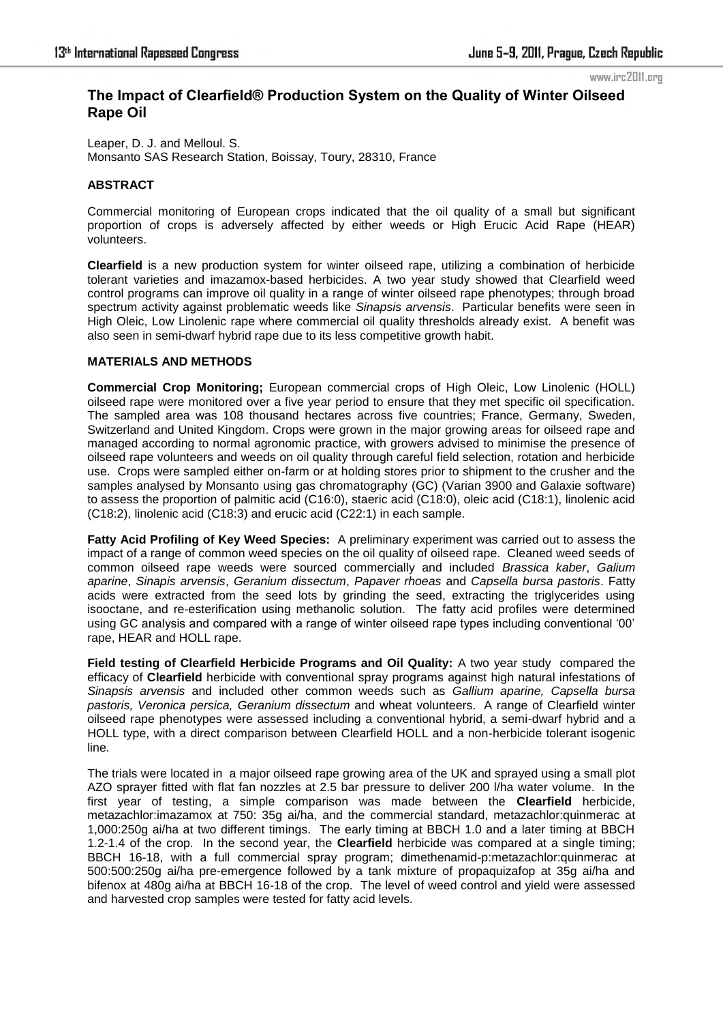# **The Impact of Clearfield® Production System on the Quality of Winter Oilseed Rape Oil**

Leaper, D. J. and Melloul. S. Monsanto SAS Research Station, Boissay, Toury, 28310, France

#### **ABSTRACT**

Commercial monitoring of European crops indicated that the oil quality of a small but significant proportion of crops is adversely affected by either weeds or High Erucic Acid Rape (HEAR) volunteers.

**Clearfield** is a new production system for winter oilseed rape, utilizing a combination of herbicide tolerant varieties and imazamox-based herbicides. A two year study showed that Clearfield weed control programs can improve oil quality in a range of winter oilseed rape phenotypes; through broad spectrum activity against problematic weeds like *Sinapsis arvensis*. Particular benefits were seen in High Oleic, Low Linolenic rape where commercial oil quality thresholds already exist. A benefit was also seen in semi-dwarf hybrid rape due to its less competitive growth habit.

### **MATERIALS AND METHODS**

**Commercial Crop Monitoring;** European commercial crops of High Oleic, Low Linolenic (HOLL) oilseed rape were monitored over a five year period to ensure that they met specific oil specification. The sampled area was 108 thousand hectares across five countries; France, Germany, Sweden, Switzerland and United Kingdom. Crops were grown in the major growing areas for oilseed rape and managed according to normal agronomic practice, with growers advised to minimise the presence of oilseed rape volunteers and weeds on oil quality through careful field selection, rotation and herbicide use. Crops were sampled either on-farm or at holding stores prior to shipment to the crusher and the samples analysed by Monsanto using gas chromatography (GC) (Varian 3900 and Galaxie software) to assess the proportion of palmitic acid (C16:0), staeric acid (C18:0), oleic acid (C18:1), linolenic acid (C18:2), linolenic acid (C18:3) and erucic acid (C22:1) in each sample.

**Fatty Acid Profiling of Key Weed Species:** A preliminary experiment was carried out to assess the impact of a range of common weed species on the oil quality of oilseed rape. Cleaned weed seeds of common oilseed rape weeds were sourced commercially and included *Brassica kaber*, *Galium aparine*, *Sinapis arvensis*, *Geranium dissectum*, *Papaver rhoeas* and *Capsella bursa pastoris*. Fatty acids were extracted from the seed lots by grinding the seed, extracting the triglycerides using isooctane, and re-esterification using methanolic solution. The fatty acid profiles were determined using GC analysis and compared with a range of winter oilseed rape types including conventional '00' rape, HEAR and HOLL rape.

**Field testing of Clearfield Herbicide Programs and Oil Quality:** A two year study compared the efficacy of **Clearfield** herbicide with conventional spray programs against high natural infestations of *Sinapsis arvensis* and included other common weeds such as *Gallium aparine, Capsella bursa pastoris, Veronica persica, Geranium dissectum* and wheat volunteers. A range of Clearfield winter oilseed rape phenotypes were assessed including a conventional hybrid, a semi-dwarf hybrid and a HOLL type, with a direct comparison between Clearfield HOLL and a non-herbicide tolerant isogenic line.

The trials were located in a major oilseed rape growing area of the UK and sprayed using a small plot AZO sprayer fitted with flat fan nozzles at 2.5 bar pressure to deliver 200 l/ha water volume. In the first year of testing, a simple comparison was made between the **Clearfield** herbicide, metazachlor:imazamox at 750: 35g ai/ha, and the commercial standard, metazachlor:quinmerac at 1,000:250g ai/ha at two different timings. The early timing at BBCH 1.0 and a later timing at BBCH 1.2-1.4 of the crop. In the second year, the **Clearfield** herbicide was compared at a single timing; BBCH 16-18, with a full commercial spray program; dimethenamid-p:metazachlor:quinmerac at 500:500:250g ai/ha pre-emergence followed by a tank mixture of propaquizafop at 35g ai/ha and bifenox at 480g ai/ha at BBCH 16-18 of the crop. The level of weed control and yield were assessed and harvested crop samples were tested for fatty acid levels.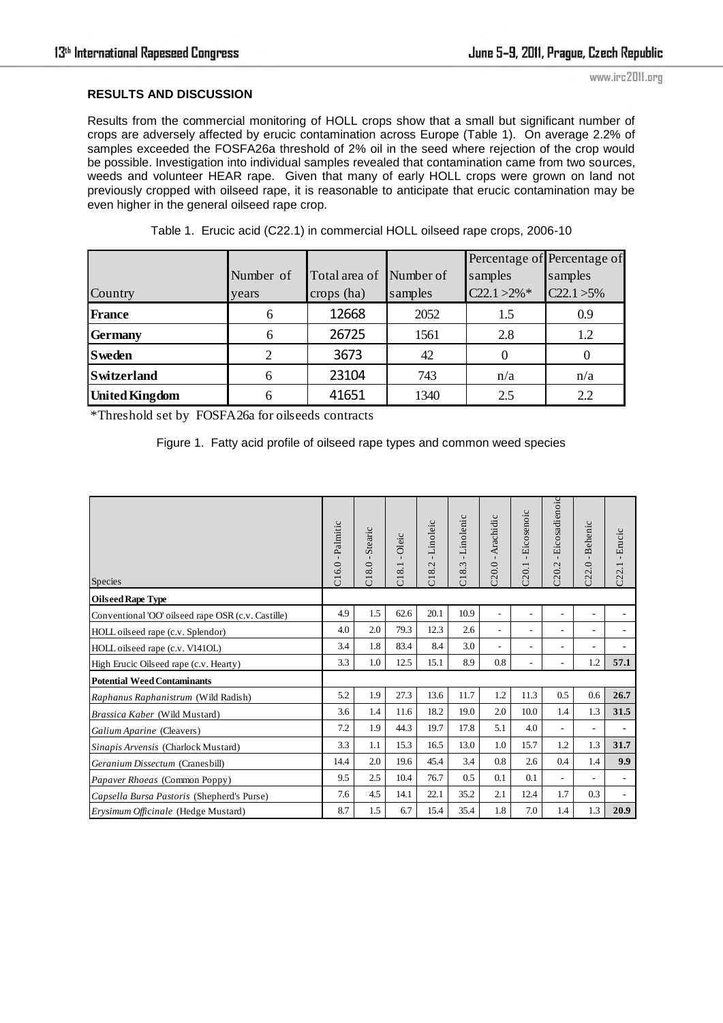## **RESULTS AND DISCUSSION**

Results from the commercial monitoring of HOLL crops show that a small but significant number of crops are adversely affected by erucic contamination across Europe (Table 1). On average 2.2% of samples exceeded the FOSFA26a threshold of 2% oil in the seed where rejection of the crop would be possible. Investigation into individual samples revealed that contamination came from two sources, weeds and volunteer HEAR rape. Given that many of early HOLL crops were grown on land not previously cropped with oilseed rape, it is reasonable to anticipate that erucic contamination may be even higher in the general oilseed rape crop.

| Country               | Number of<br>years | Total area of<br>crops (ha) | Number of<br>samples | samples<br>$C22.1 > 2\%$ * | Percentage of Percentage of<br>samples<br>$C22.1 > 5\%$ |
|-----------------------|--------------------|-----------------------------|----------------------|----------------------------|---------------------------------------------------------|
| <b>France</b>         | 6                  | 12668                       | 2052                 | 1.5                        | 0.9                                                     |
| <b>Germany</b>        | 6                  | 26725                       | 1561                 | 2.8                        | 1.2                                                     |
| <b>Sweden</b>         |                    | 3673                        | 42                   |                            |                                                         |
| <b>Switzerland</b>    | 6                  | 23104                       | 743                  | n/a                        | n/a                                                     |
| <b>United Kingdom</b> |                    | 41651                       | 1340                 | 2.5                        | 2.2                                                     |

Table 1. Erucic acid (C22.1) in commercial HOLL oilseed rape crops, 2006-10

\*Threshold set by FOSFA26a for oilseeds contracts

Figure 1. Fatty acid profile of oilseed rape types and common weed species

| <b>Species</b>                                     | C16.0 - Palmitic | Stearic<br>$\mathbf{I}$<br>C18.0 | -Oleic<br>C18.1 | Linoleic<br>$\blacksquare$<br>$\overline{C}$<br>$\infty$<br>ä | Linolenic<br>$\mathbf{I}$<br>Ċ.<br>$\overline{C}$ 18. | 20.0 - Arachidic         | -Eicosenoic<br>C20.1     | Eicosadienoic<br>$\mathbf{I}$<br>C20.2 | C22.0 - Behenic | - Erucic<br>C22.1 |
|----------------------------------------------------|------------------|----------------------------------|-----------------|---------------------------------------------------------------|-------------------------------------------------------|--------------------------|--------------------------|----------------------------------------|-----------------|-------------------|
| <b>Oilseed Rape Type</b>                           |                  |                                  |                 |                                                               |                                                       |                          |                          |                                        |                 |                   |
| Conventional 'OO' oilseed rape OSR (c.v. Castille) | 4.9              | 1.5                              | 62.6            | 20.1                                                          | 10.9                                                  | $\overline{\phantom{a}}$ | $\overline{\phantom{m}}$ |                                        |                 |                   |
| HOLL oilseed rape (c.v. Splendor)                  |                  | 2.0                              | 79.3            | 12.3                                                          | 2.6                                                   | $\overline{\phantom{a}}$ | $\overline{\phantom{a}}$ | ٠                                      |                 |                   |
| HOLL oilseed rape (c.v. V141OL)                    |                  | 1.8                              | 83.4            | 8.4                                                           | 3.0                                                   | $\overline{\phantom{a}}$ | $\overline{\phantom{a}}$ | ٠                                      |                 |                   |
| High Erucic Oilseed rape (c.v. Hearty)             |                  | 1.0                              | 12.5            | 15.1                                                          | 8.9                                                   | 0.8                      | ٠                        | ٠                                      | 1.2             | 57.1              |
| <b>Potential Weed Contaminants</b>                 |                  |                                  |                 |                                                               |                                                       |                          |                          |                                        |                 |                   |
| Raphanus Raphanistrum (Wild Radish)                | 5.2              | 1.9                              | 27.3            | 13.6                                                          | 11.7                                                  | 1.2                      | 11.3                     | 0.5                                    | 0.6             | 26.7              |
| Brassica Kaber (Wild Mustard)                      |                  | 1.4                              | 11.6            | 18.2                                                          | 19.0                                                  | 2.0                      | 10.0                     | 1.4                                    | 1.3             | 31.5              |
| Galium Aparine (Cleavers)                          |                  | 1.9                              | 44.3            | 19.7                                                          | 17.8                                                  | 5.1                      | 4.0                      | $\overline{\phantom{a}}$               |                 | $\blacksquare$    |
| Sinapis Arvensis (Charlock Mustard)                |                  | 1.1                              | 15.3            | 16.5                                                          | 13.0                                                  | 1.0                      | 15.7                     | 1.2                                    | 1.3             | 31.7              |
| Geranium Dissectum (Cranesbill)                    |                  | 2.0                              | 19.6            | 45.4                                                          | 3.4                                                   | 0.8                      | 2.6                      | 0.4                                    | 1.4             | 9.9               |
| Papaver Rhoeas (Common Poppy)                      |                  | 2.5                              | 10.4            | 76.7                                                          | 0.5                                                   | 0.1                      | 0.1                      | $\overline{\phantom{a}}$               |                 | $\blacksquare$    |
| Capsella Bursa Pastoris (Shepherd's Purse)         |                  | 4.5                              | 14.1            | 22.1                                                          | 35.2                                                  | 2.1                      | 12.4                     | 1.7                                    | 0.3             |                   |
| Erysimum Officinale (Hedge Mustard)                |                  | 1.5                              | 6.7             | 15.4                                                          | 35.4                                                  | 1.8                      | 7.0                      | 1.4                                    | 1.3             | 20.9              |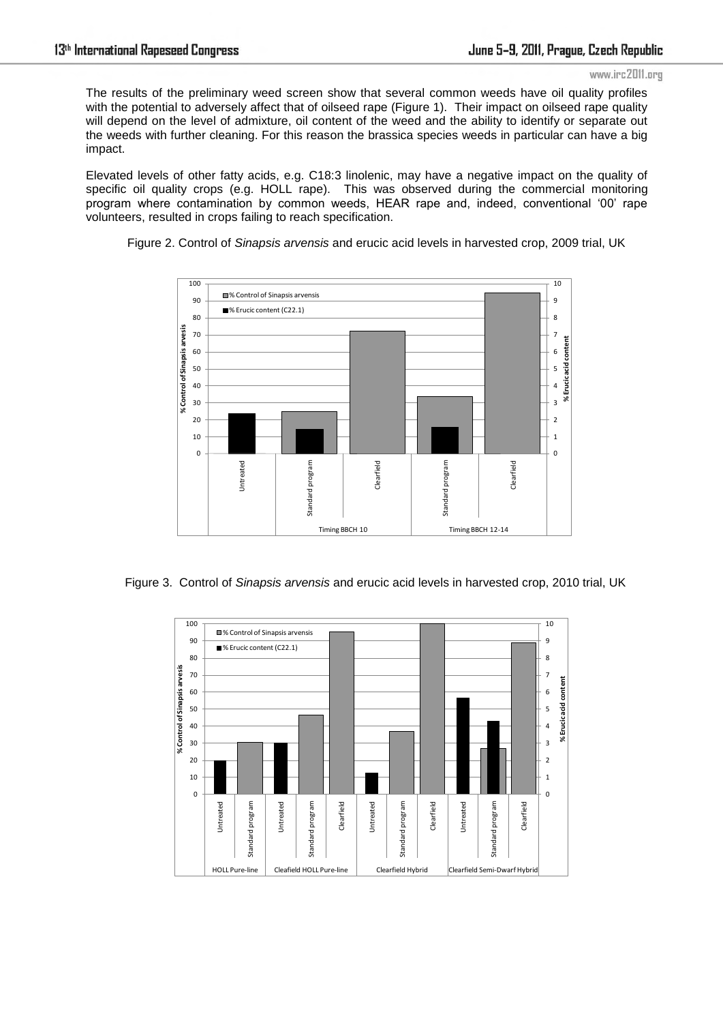The results of the preliminary weed screen show that several common weeds have oil quality profiles with the potential to adversely affect that of oilseed rape (Figure 1). Their impact on oilseed rape quality will depend on the level of admixture, oil content of the weed and the ability to identify or separate out the weeds with further cleaning. For this reason the brassica species weeds in particular can have a big impact.

Elevated levels of other fatty acids, e.g. C18:3 linolenic, may have a negative impact on the quality of specific oil quality crops (e.g. HOLL rape). This was observed during the commercial monitoring program where contamination by common weeds, HEAR rape and, indeed, conventional '00' rape volunteers, resulted in crops failing to reach specification.



Figure 2. Control of *Sinapsis arvensis* and erucic acid levels in harvested crop, 2009 trial, UK

Figure 3. Control of *Sinapsis arvensis* and erucic acid levels in harvested crop, 2010 trial, UK